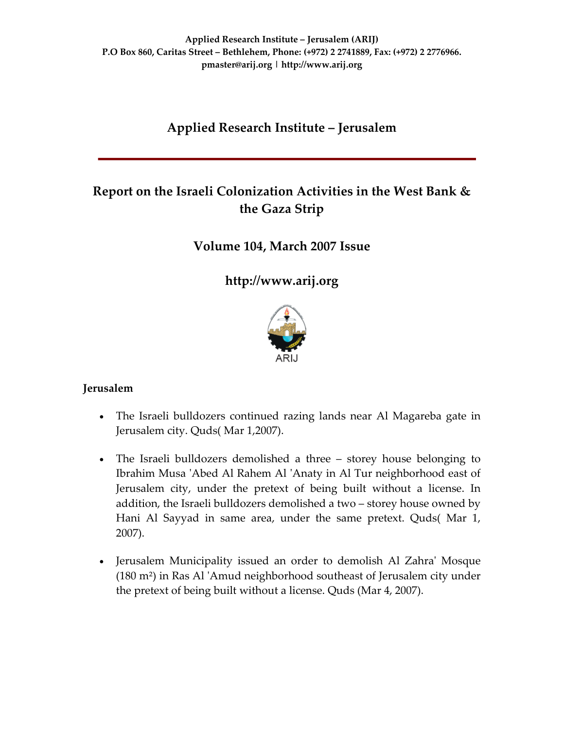# **Applied Research Institute – Jerusalem**

# **Report on the Israeli Colonization Activities in the West Bank & the Gaza Strip**

# **Volume 104, March 2007 Issue**

**[http://www.arij.org](http://www.arij.org/)**



# **Jerusalem**

- The Israeli bulldozers continued razing lands near Al Magareba gate in Jerusalem city. Quds( Mar 1,2007).
- The Israeli bulldozers demolished a three storey house belonging to Ibrahim Musa ʹAbed Al Rahem Al ʹAnaty in Al Tur neighborhood east of Jerusalem city, under the pretext of being built without a license. In addition, the Israeli bulldozers demolished a two – storey house owned by Hani Al Sayyad in same area, under the same pretext. Quds( Mar 1, 2007).
- Jerusalem Municipality issued an order to demolish Al Zahraʹ Mosque (180 m²) in Ras Al ʹAmud neighborhood southeast of Jerusalem city under the pretext of being built without a license. Quds (Mar 4, 2007).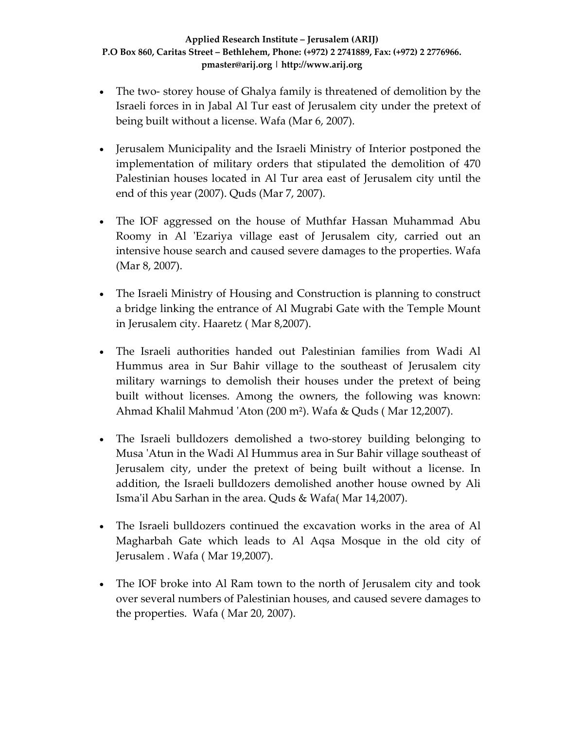- The two-storey house of Ghalya family is threatened of demolition by the Israeli forces in in Jabal Al Tur east of Jerusalem city under the pretext of being built without a license. Wafa (Mar 6, 2007).
- Jerusalem Municipality and the Israeli Ministry of Interior postponed the implementation of military orders that stipulated the demolition of 470 Palestinian houses located in Al Tur area east of Jerusalem city until the end of this year (2007). Quds (Mar 7, 2007).
- The IOF aggressed on the house of Muthfar Hassan Muhammad Abu Roomy in Al 'Ezariya village east of Jerusalem city, carried out an intensive house search and caused severe damages to the properties. Wafa (Mar 8, 2007).
- The Israeli Ministry of Housing and Construction is planning to construct a bridge linking the entrance of Al Mugrabi Gate with the Temple Mount in Jerusalem city. Haaretz ( Mar 8,2007).
- The Israeli authorities handed out Palestinian families from Wadi Al Hummus area in Sur Bahir village to the southeast of Jerusalem city military warnings to demolish their houses under the pretext of being built without licenses. Among the owners, the following was known: Ahmad Khalil Mahmud ʹAton (200 m²). Wafa & Quds ( Mar 12,2007).
- The Israeli bulldozers demolished a two-storey building belonging to Musa ʹAtun in the Wadi Al Hummus area in Sur Bahir village southeast of Jerusalem city, under the pretext of being built without a license. In addition, the Israeli bulldozers demolished another house owned by Ali Ismaʹil Abu Sarhan in the area. Quds & Wafa( Mar 14,2007).
- The Israeli bulldozers continued the excavation works in the area of Al Magharbah Gate which leads to Al Aqsa Mosque in the old city of Jerusalem . Wafa ( Mar 19,2007).
- The IOF broke into Al Ram town to the north of Jerusalem city and took over several numbers of Palestinian houses, and caused severe damages to the properties. Wafa ( Mar 20, 2007).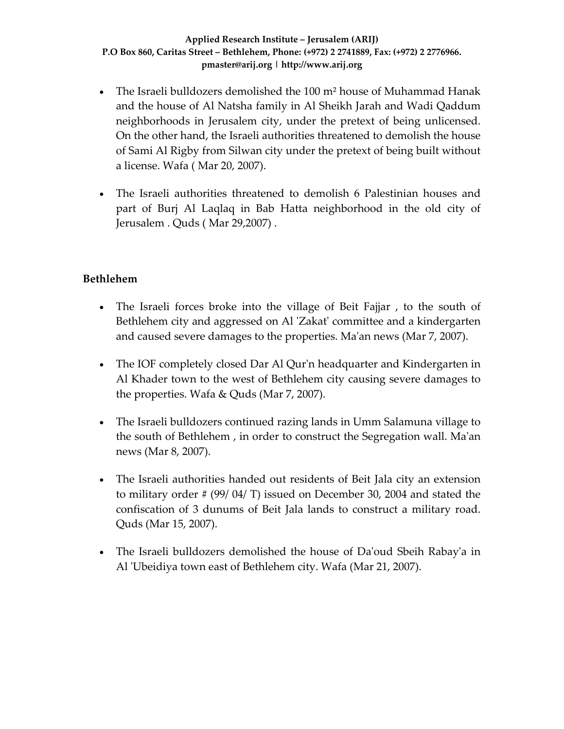- The Israeli bulldozers demolished the 100 m² house of Muhammad Hanak and the house of Al Natsha family in Al Sheikh Jarah and Wadi Qaddum neighborhoods in Jerusalem city, under the pretext of being unlicensed. On the other hand, the Israeli authorities threatened to demolish the house of Sami Al Rigby from Silwan city under the pretext of being built without a license. Wafa ( Mar 20, 2007).
- The Israeli authorities threatened to demolish 6 Palestinian houses and part of Burj Al Laqlaq in Bab Hatta neighborhood in the old city of Jerusalem . Quds ( Mar 29,2007) .

# **Bethlehem**

- The Israeli forces broke into the village of Beit Fajjar, to the south of Bethlehem city and aggressed on Al 'Zakat' committee and a kindergarten and caused severe damages to the properties. Maʹan news (Mar 7, 2007).
- The IOF completely closed Dar Al Qur'n headquarter and Kindergarten in Al Khader town to the west of Bethlehem city causing severe damages to the properties. Wafa & Quds (Mar 7, 2007).
- The Israeli bulldozers continued razing lands in Umm Salamuna village to the south of Bethlehem , in order to construct the Segregation wall. Maʹan news (Mar 8, 2007).
- The Israeli authorities handed out residents of Beit Jala city an extension to military order # (99/ 04/ T) issued on December 30, 2004 and stated the confiscation of 3 dunums of Beit Jala lands to construct a military road. Quds (Mar 15, 2007).
- The Israeli bulldozers demolished the house of Da'oud Sbeih Rabay'a in Al 'Ubeidiya town east of Bethlehem city. Wafa (Mar 21, 2007).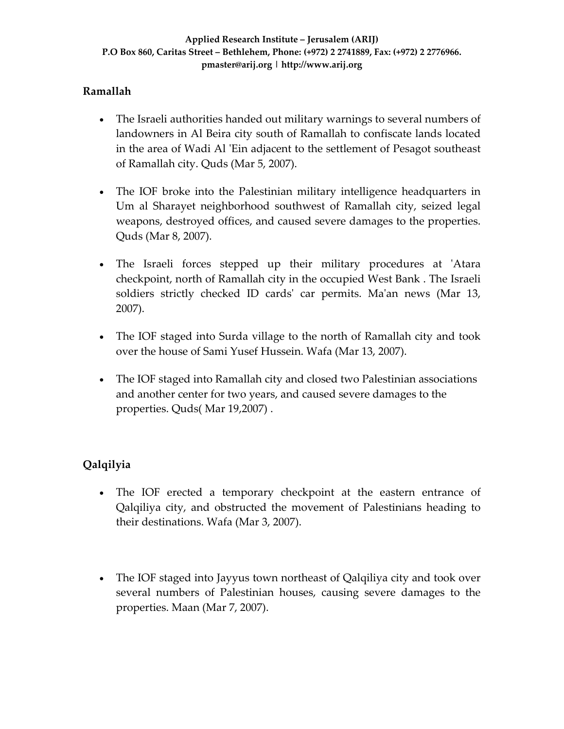# **Ramallah**

- The Israeli authorities handed out military warnings to several numbers of landowners in Al Beira city south of Ramallah to confiscate lands located in the area of Wadi Al 'Ein adjacent to the settlement of Pesagot southeast of Ramallah city. Quds (Mar 5, 2007).
- The IOF broke into the Palestinian military intelligence headquarters in Um al Sharayet neighborhood southwest of Ramallah city, seized legal weapons, destroyed offices, and caused severe damages to the properties. Quds (Mar 8, 2007).
- The Israeli forces stepped up their military procedures at ʹAtara checkpoint, north of Ramallah city in the occupied West Bank . The Israeli soldiers strictly checked ID cards' car permits. Ma'an news (Mar 13, 2007).
- The IOF staged into Surda village to the north of Ramallah city and took over the house of Sami Yusef Hussein. Wafa (Mar 13, 2007).
- The IOF staged into Ramallah city and closed two Palestinian associations and another center for two years, and caused severe damages to the properties. Quds( Mar 19,2007) .

# **Qalqilyia**

- The IOF erected a temporary checkpoint at the eastern entrance of Qalqiliya city, and obstructed the movement of Palestinians heading to their destinations. Wafa (Mar 3, 2007).
- The IOF staged into Jayyus town northeast of Qalqiliya city and took over several numbers of Palestinian houses, causing severe damages to the properties. Maan (Mar 7, 2007).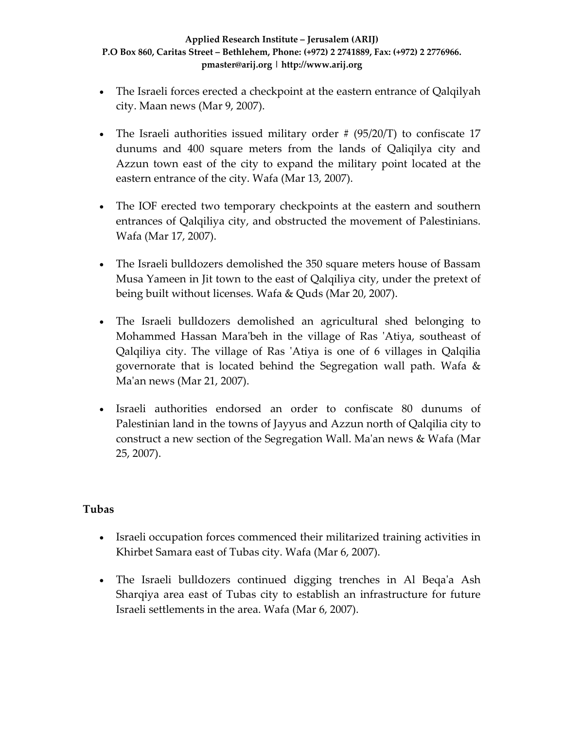- The Israeli forces erected a checkpoint at the eastern entrance of Qalqilyah city. Maan news (Mar 9, 2007).
- The Israeli authorities issued military order  $\# (95/20/T)$  to confiscate 17 dunums and 400 square meters from the lands of Qaliqilya city and Azzun town east of the city to expand the military point located at the eastern entrance of the city. Wafa (Mar 13, 2007).
- The IOF erected two temporary checkpoints at the eastern and southern entrances of Qalqiliya city, and obstructed the movement of Palestinians. Wafa (Mar 17, 2007).
- The Israeli bulldozers demolished the 350 square meters house of Bassam Musa Yameen in Jit town to the east of Qalqiliya city, under the pretext of being built without licenses. Wafa & Quds (Mar 20, 2007).
- The Israeli bulldozers demolished an agricultural shed belonging to Mohammed Hassan Mara'beh in the village of Ras 'Atiya, southeast of Qalqiliya city. The village of Ras ʹAtiya is one of 6 villages in Qalqilia governorate that is located behind the Segregation wall path. Wafa & Maʹan news (Mar 21, 2007).
- Israeli authorities endorsed an order to confiscate 80 dunums of Palestinian land in the towns of Jayyus and Azzun north of Qalqilia city to construct a new section of the Segregation Wall. Maʹan news & Wafa (Mar 25, 2007).

# **Tubas**

- Israeli occupation forces commenced their militarized training activities in Khirbet Samara east of Tubas city. Wafa (Mar 6, 2007).
- The Israeli bulldozers continued digging trenches in Al Beqa'a Ash Sharqiya area east of Tubas city to establish an infrastructure for future Israeli settlements in the area. Wafa (Mar 6, 2007).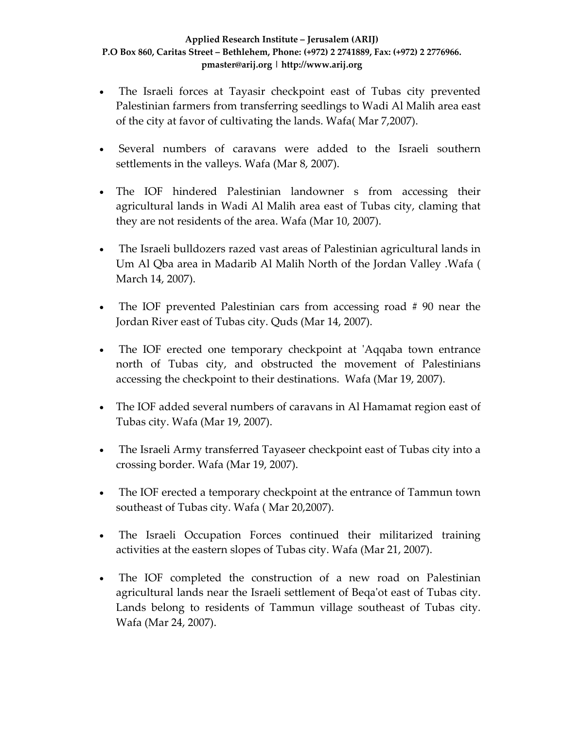- The Israeli forces at Tayasir checkpoint east of Tubas city prevented Palestinian farmers from transferring seedlings to Wadi Al Malih area east of the city at favor of cultivating the lands. Wafa( Mar 7,2007).
- Several numbers of caravans were added to the Israeli southern settlements in the valleys. Wafa (Mar 8, 2007).
- The IOF hindered Palestinian landowner s from accessing their agricultural lands in Wadi Al Malih area east of Tubas city, claming that they are not residents of the area. Wafa (Mar 10, 2007).
- The Israeli bulldozers razed vast areas of Palestinian agricultural lands in Um Al Qba area in Madarib Al Malih North of the Jordan Valley .Wafa ( March 14, 2007).
- The IOF prevented Palestinian cars from accessing road #90 near the Jordan River east of Tubas city. Quds (Mar 14, 2007).
- The IOF erected one temporary checkpoint at 'Aqqaba town entrance north of Tubas city, and obstructed the movement of Palestinians accessing the checkpoint to their destinations. Wafa (Mar 19, 2007).
- The IOF added several numbers of caravans in Al Hamamat region east of Tubas city. Wafa (Mar 19, 2007).
- The Israeli Army transferred Tayaseer checkpoint east of Tubas city into a crossing border. Wafa (Mar 19, 2007).
- The IOF erected a temporary checkpoint at the entrance of Tammun town southeast of Tubas city. Wafa ( Mar 20,2007).
- The Israeli Occupation Forces continued their militarized training activities at the eastern slopes of Tubas city. Wafa (Mar 21, 2007).
- The IOF completed the construction of a new road on Palestinian agricultural lands near the Israeli settlement of Beqaʹot east of Tubas city. Lands belong to residents of Tammun village southeast of Tubas city. Wafa (Mar 24, 2007).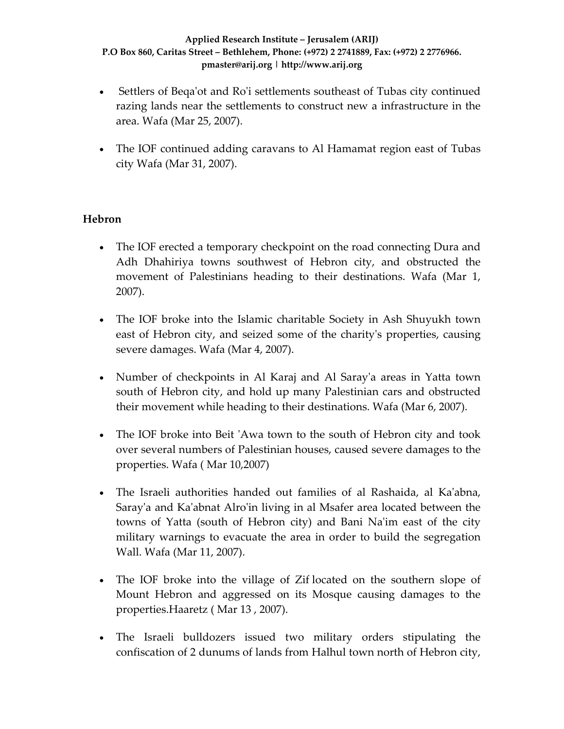- Settlers of Bega'ot and Ro'i settlements southeast of Tubas city continued razing lands near the settlements to construct new a infrastructure in the area. Wafa (Mar 25, 2007).
- The IOF continued adding caravans to Al Hamamat region east of Tubas city Wafa (Mar 31, 2007).

# **Hebron**

- The IOF erected a temporary checkpoint on the road connecting Dura and Adh Dhahiriya towns southwest of Hebron city, and obstructed the movement of Palestinians heading to their destinations. Wafa (Mar 1, 2007).
- The IOF broke into the Islamic charitable Society in Ash Shuyukh town east of Hebron city, and seized some of the charityʹs properties, causing severe damages. Wafa (Mar 4, 2007).
- Number of checkpoints in Al Karaj and Al Saray'a areas in Yatta town south of Hebron city, and hold up many Palestinian cars and obstructed their movement while heading to their destinations. Wafa (Mar 6, 2007).
- The IOF broke into Beit 'Awa town to the south of Hebron city and took over several numbers of Palestinian houses, caused severe damages to the properties. Wafa ( Mar 10,2007)
- The Israeli authorities handed out families of al Rashaida, al Kaʹabna, Saray'a and Ka'abnat Alro'in living in al Msafer area located between the towns of Yatta (south of Hebron city) and Bani Naʹim east of the city military warnings to evacuate the area in order to build the segregation Wall. Wafa (Mar 11, 2007).
- The IOF broke into the village of Zif located on the southern slope of Mount Hebron and aggressed on its Mosque causing damages to the properties.Haaretz ( Mar 13 , 2007).
- The Israeli bulldozers issued two military orders stipulating the confiscation of 2 dunums of lands from Halhul town north of Hebron city,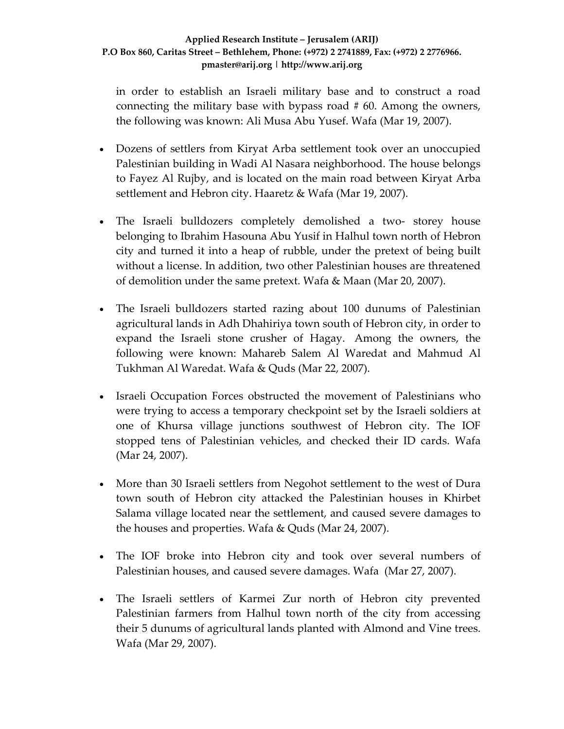in order to establish an Israeli military base and to construct a road connecting the military base with bypass road  $#60$ . Among the owners, the following was known: Ali Musa Abu Yusef. Wafa (Mar 19, 2007).

- Dozens of settlers from Kiryat Arba settlement took over an unoccupied Palestinian building in Wadi Al Nasara neighborhood. The house belongs to Fayez Al Rujby, and is located on the main road between Kiryat Arba settlement and Hebron city. Haaretz & Wafa (Mar 19, 2007).
- The Israeli bulldozers completely demolished a two-storey house belonging to Ibrahim Hasouna Abu Yusif in Halhul town north of Hebron city and turned it into a heap of rubble, under the pretext of being built without a license. In addition, two other Palestinian houses are threatened of demolition under the same pretext. Wafa & Maan (Mar 20, 2007).
- The Israeli bulldozers started razing about 100 dunums of Palestinian agricultural lands in Adh Dhahiriya town south of Hebron city, in order to expand the Israeli stone crusher of Hagay. Among the owners, the following were known: Mahareb Salem Al Waredat and Mahmud Al Tukhman Al Waredat. Wafa & Quds (Mar 22, 2007).
- Israeli Occupation Forces obstructed the movement of Palestinians who were trying to access a temporary checkpoint set by the Israeli soldiers at one of Khursa village junctions southwest of Hebron city. The IOF stopped tens of Palestinian vehicles, and checked their ID cards. Wafa (Mar 24, 2007).
- More than 30 Israeli settlers from Negohot settlement to the west of Dura town south of Hebron city attacked the Palestinian houses in Khirbet Salama village located near the settlement, and caused severe damages to the houses and properties. Wafa & Quds (Mar 24, 2007).
- The IOF broke into Hebron city and took over several numbers of Palestinian houses, and caused severe damages. Wafa (Mar 27, 2007).
- The Israeli settlers of Karmei Zur north of Hebron city prevented Palestinian farmers from Halhul town north of the city from accessing their 5 dunums of agricultural lands planted with Almond and Vine trees. Wafa (Mar 29, 2007).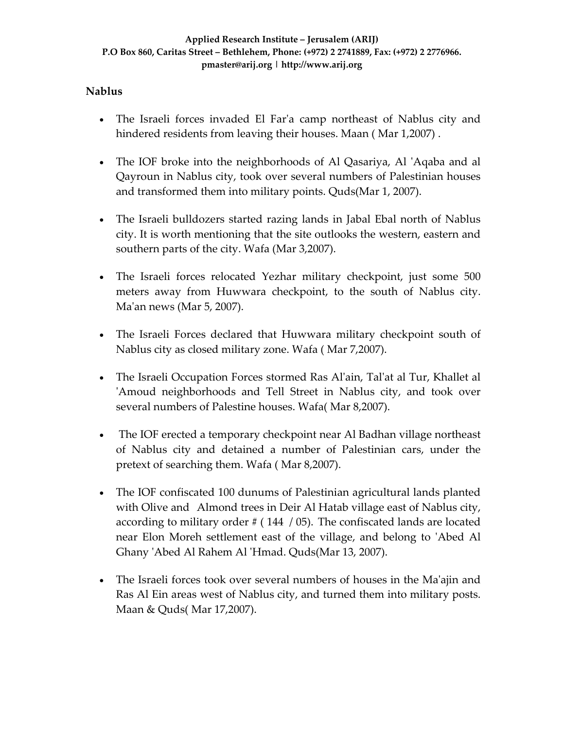### **Nablus**

- The Israeli forces invaded El Far'a camp northeast of Nablus city and hindered residents from leaving their houses. Maan ( Mar 1,2007) .
- The IOF broke into the neighborhoods of Al Qasariya, Al 'Aqaba and al Qayroun in Nablus city, took over several numbers of Palestinian houses and transformed them into military points. Quds(Mar 1, 2007).
- The Israeli bulldozers started razing lands in Jabal Ebal north of Nablus city. It is worth mentioning that the site outlooks the western, eastern and southern parts of the city. Wafa (Mar 3,2007).
- The Israeli forces relocated Yezhar military checkpoint, just some 500 meters away from Huwwara checkpoint, to the south of Nablus city. Ma'an news (Mar 5, 2007).
- The Israeli Forces declared that Huwwara military checkpoint south of Nablus city as closed military zone. Wafa ( Mar 7,2007).
- The Israeli Occupation Forces stormed Ras Al'ain, Tal'at al Tur, Khallet al ʹAmoud neighborhoods and Tell Street in Nablus city, and took over several numbers of Palestine houses. Wafa( Mar 8,2007).
- The IOF erected a temporary checkpoint near Al Badhan village northeast of Nablus city and detained a number of Palestinian cars, under the pretext of searching them. Wafa ( Mar 8,2007).
- The IOF confiscated 100 dunums of Palestinian agricultural lands planted with Olive and Almond trees in Deir Al Hatab village east of Nablus city, according to military order # ( 144 / 05). The confiscated lands are located near Elon Moreh settlement east of the village, and belong to 'Abed Al Ghany ʹAbed Al Rahem Al ʹHmad. Quds(Mar 13, 2007).
- The Israeli forces took over several numbers of houses in the Ma'ajin and Ras Al Ein areas west of Nablus city, and turned them into military posts. Maan & Quds( Mar 17,2007).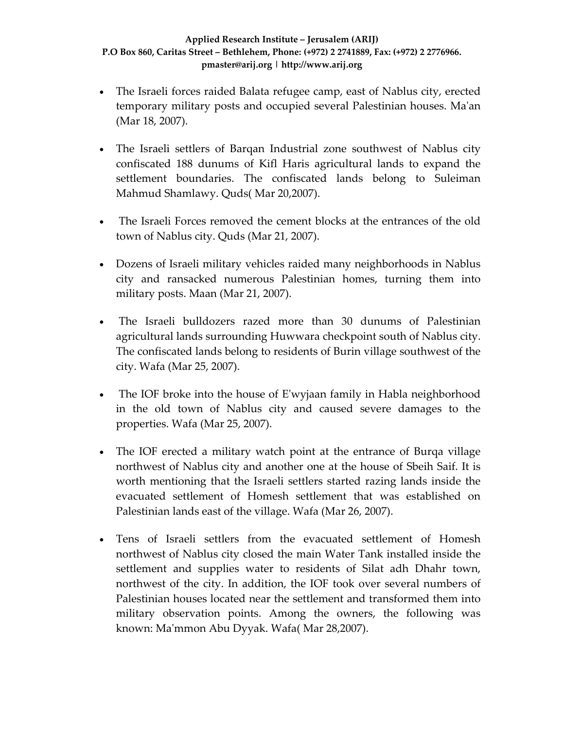- The Israeli forces raided Balata refugee camp, east of Nablus city, erected temporary military posts and occupied several Palestinian houses. Maʹan (Mar 18, 2007).
- The Israeli settlers of Barqan Industrial zone southwest of Nablus city confiscated 188 dunums of Kifl Haris agricultural lands to expand the settlement boundaries. The confiscated lands belong to Suleiman Mahmud Shamlawy. Quds( Mar 20,2007).
- The Israeli Forces removed the cement blocks at the entrances of the old town of Nablus city. Quds (Mar 21, 2007).
- Dozens of Israeli military vehicles raided many neighborhoods in Nablus city and ransacked numerous Palestinian homes, turning them into military posts. Maan (Mar 21, 2007).
- The Israeli bulldozers razed more than 30 dunums of Palestinian agricultural lands surrounding Huwwara checkpoint south of Nablus city. The confiscated lands belong to residents of Burin village southwest of the city. Wafa (Mar 25, 2007).
- The IOF broke into the house of E'wyjaan family in Habla neighborhood in the old town of Nablus city and caused severe damages to the properties. Wafa (Mar 25, 2007).
- The IOF erected a military watch point at the entrance of Burqa village northwest of Nablus city and another one at the house of Sbeih Saif. It is worth mentioning that the Israeli settlers started razing lands inside the evacuated settlement of Homesh settlement that was established on Palestinian lands east of the village. Wafa (Mar 26, 2007).
- Tens of Israeli settlers from the evacuated settlement of Homesh northwest of Nablus city closed the main Water Tank installed inside the settlement and supplies water to residents of Silat adh Dhahr town, northwest of the city. In addition, the IOF took over several numbers of Palestinian houses located near the settlement and transformed them into military observation points. Among the owners, the following was known: Maʹmmon Abu Dyyak. Wafa( Mar 28,2007).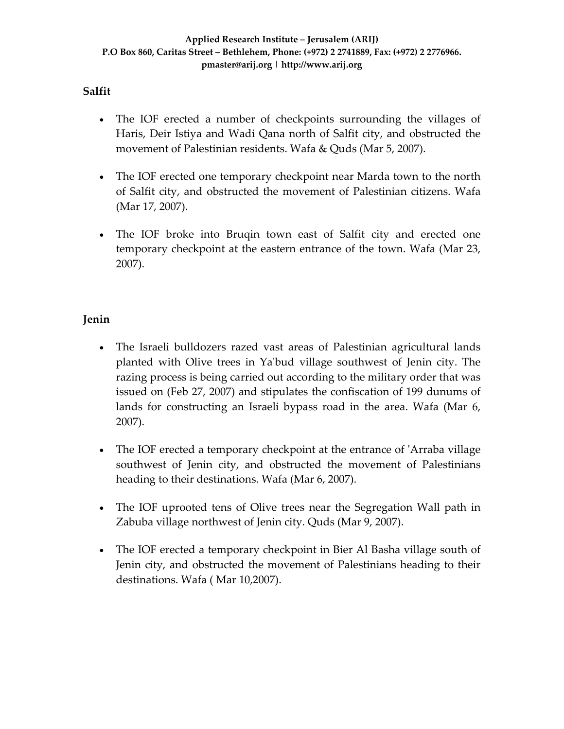## **Salfit**

- The IOF erected a number of checkpoints surrounding the villages of Haris, Deir Istiya and Wadi Qana north of Salfit city, and obstructed the movement of Palestinian residents. Wafa & Quds (Mar 5, 2007).
- The IOF erected one temporary checkpoint near Marda town to the north of Salfit city, and obstructed the movement of Palestinian citizens. Wafa (Mar 17, 2007).
- The IOF broke into Bruqin town east of Salfit city and erected one temporary checkpoint at the eastern entrance of the town. Wafa (Mar 23, 2007).

# **Jenin**

- The Israeli bulldozers razed vast areas of Palestinian agricultural lands planted with Olive trees in Yaʹbud village southwest of Jenin city. The razing process is being carried out according to the military order that was issued on (Feb 27, 2007) and stipulates the confiscation of 199 dunums of lands for constructing an Israeli bypass road in the area. Wafa (Mar 6, 2007).
- The IOF erected a temporary checkpoint at the entrance of 'Arraba village southwest of Jenin city, and obstructed the movement of Palestinians heading to their destinations. Wafa (Mar 6, 2007).
- The IOF uprooted tens of Olive trees near the Segregation Wall path in Zabuba village northwest of Jenin city. Quds (Mar 9, 2007).
- The IOF erected a temporary checkpoint in Bier Al Basha village south of Jenin city, and obstructed the movement of Palestinians heading to their destinations. Wafa ( Mar 10,2007).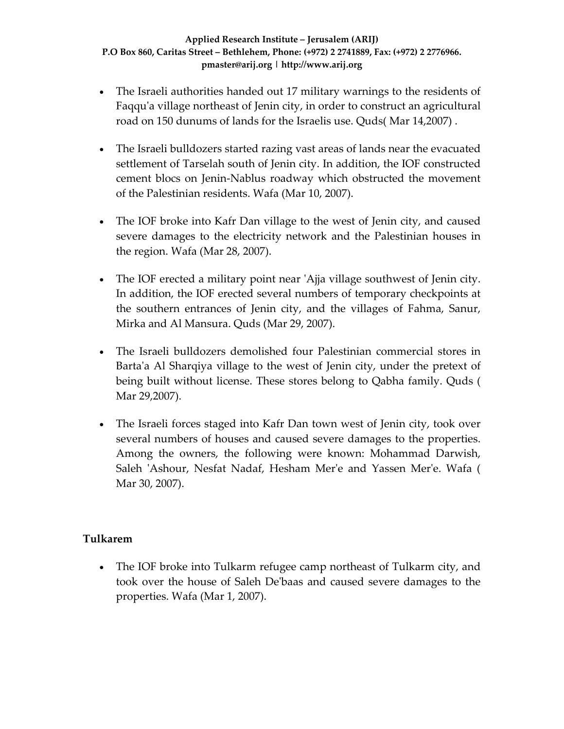- The Israeli authorities handed out 17 military warnings to the residents of Faqqu'a village northeast of Jenin city, in order to construct an agricultural road on 150 dunums of lands for the Israelis use. Quds( Mar 14,2007) .
- The Israeli bulldozers started razing vast areas of lands near the evacuated settlement of Tarselah south of Jenin city. In addition, the IOF constructed cement blocs on Jenin‐Nablus roadway which obstructed the movement of the Palestinian residents. Wafa (Mar 10, 2007).
- The IOF broke into Kafr Dan village to the west of Jenin city, and caused severe damages to the electricity network and the Palestinian houses in the region. Wafa (Mar 28, 2007).
- The IOF erected a military point near 'Ajja village southwest of Jenin city. In addition, the IOF erected several numbers of temporary checkpoints at the southern entrances of Jenin city, and the villages of Fahma, Sanur, Mirka and Al Mansura. Quds (Mar 29, 2007).
- The Israeli bulldozers demolished four Palestinian commercial stores in Barta'a Al Sharqiya village to the west of Jenin city, under the pretext of being built without license. These stores belong to Qabha family. Quds ( Mar 29,2007).
- The Israeli forces staged into Kafr Dan town west of Jenin city, took over several numbers of houses and caused severe damages to the properties. Among the owners, the following were known: Mohammad Darwish, Saleh ʹAshour, Nesfat Nadaf, Hesham Merʹe and Yassen Merʹe. Wafa ( Mar 30, 2007).

# **Tulkarem**

• The IOF broke into Tulkarm refugee camp northeast of Tulkarm city, and took over the house of Saleh Deʹbaas and caused severe damages to the properties. Wafa (Mar 1, 2007).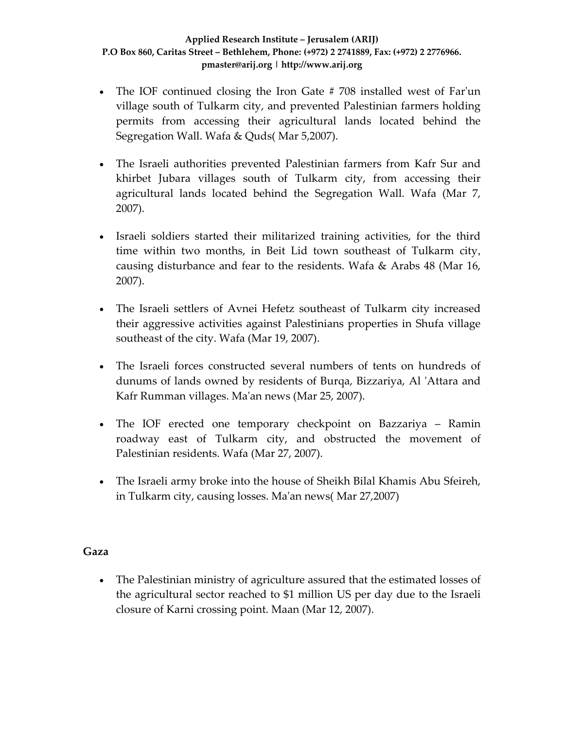- The IOF continued closing the Iron Gate #708 installed west of Far'un village south of Tulkarm city, and prevented Palestinian farmers holding permits from accessing their agricultural lands located behind the Segregation Wall. Wafa & Quds( Mar 5,2007).
- The Israeli authorities prevented Palestinian farmers from Kafr Sur and khirbet Jubara villages south of Tulkarm city, from accessing their agricultural lands located behind the Segregation Wall. Wafa (Mar 7, 2007).
- Israeli soldiers started their militarized training activities, for the third time within two months, in Beit Lid town southeast of Tulkarm city, causing disturbance and fear to the residents. Wafa & Arabs 48 (Mar 16, 2007).
- The Israeli settlers of Avnei Hefetz southeast of Tulkarm city increased their aggressive activities against Palestinians properties in Shufa village southeast of the city. Wafa (Mar 19, 2007).
- The Israeli forces constructed several numbers of tents on hundreds of dunums of lands owned by residents of Burqa, Bizzariya, Al ʹAttara and Kafr Rumman villages. Maʹan news (Mar 25, 2007).
- The IOF erected one temporary checkpoint on Bazzariya Ramin roadway east of Tulkarm city, and obstructed the movement of Palestinian residents. Wafa (Mar 27, 2007).
- The Israeli army broke into the house of Sheikh Bilal Khamis Abu Sfeireh, in Tulkarm city, causing losses. Maʹan news( Mar 27,2007)

### **Gaza**

• The Palestinian ministry of agriculture assured that the estimated losses of the agricultural sector reached to \$1 million US per day due to the Israeli closure of Karni crossing point. Maan (Mar 12, 2007).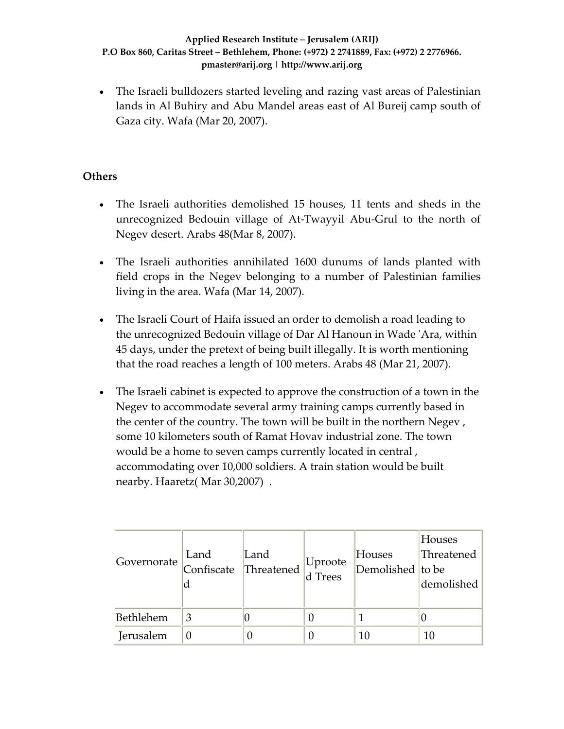• The Israeli bulldozers started leveling and razing vast areas of Palestinian lands in Al Buhiry and Abu Mandel areas east of Al Bureij camp south of Gaza city. Wafa (Mar 20, 2007).

# **Others**

- The Israeli authorities demolished 15 houses, 11 tents and sheds in the unrecognized Bedouin village of At‐Twayyil Abu‐Grul to the north of Negev desert. Arabs 48(Mar 8, 2007).
- The Israeli authorities annihilated 1600 dunums of lands planted with field crops in the Negev belonging to a number of Palestinian families living in the area. Wafa (Mar 14, 2007).
- The Israeli Court of Haifa issued an order to demolish a road leading to the unrecognized Bedouin village of Dar Al Hanoun in Wade ʹAra, within 45 days, under the pretext of being built illegally. It is worth mentioning that the road reaches a length of 100 meters. Arabs 48 (Mar 21, 2007).
- The Israeli cabinet is expected to approve the construction of a town in the Negev to accommodate several army training camps currently based in the center of the country. The town will be built in the northern Negev , some 10 kilometers south of Ramat Hovav industrial zone. The town would be a home to seven camps currently located in central , accommodating over 10,000 soldiers. A train station would be built nearby. Haaretz( Mar 30,2007) .

| Governorate | Land | Land<br>Land $\begin{array}{c}$ Land $\end{array}$ Threatened $\begin{array}{c}$ Uproote | Houses<br>$\sqrt{\frac{1}{2}}$ Demolished to be | Houses<br>Threatened<br>demolished |
|-------------|------|------------------------------------------------------------------------------------------|-------------------------------------------------|------------------------------------|
| Bethlehem   | 3    |                                                                                          |                                                 |                                    |
| Jerusalem   |      |                                                                                          | 10                                              | 10                                 |